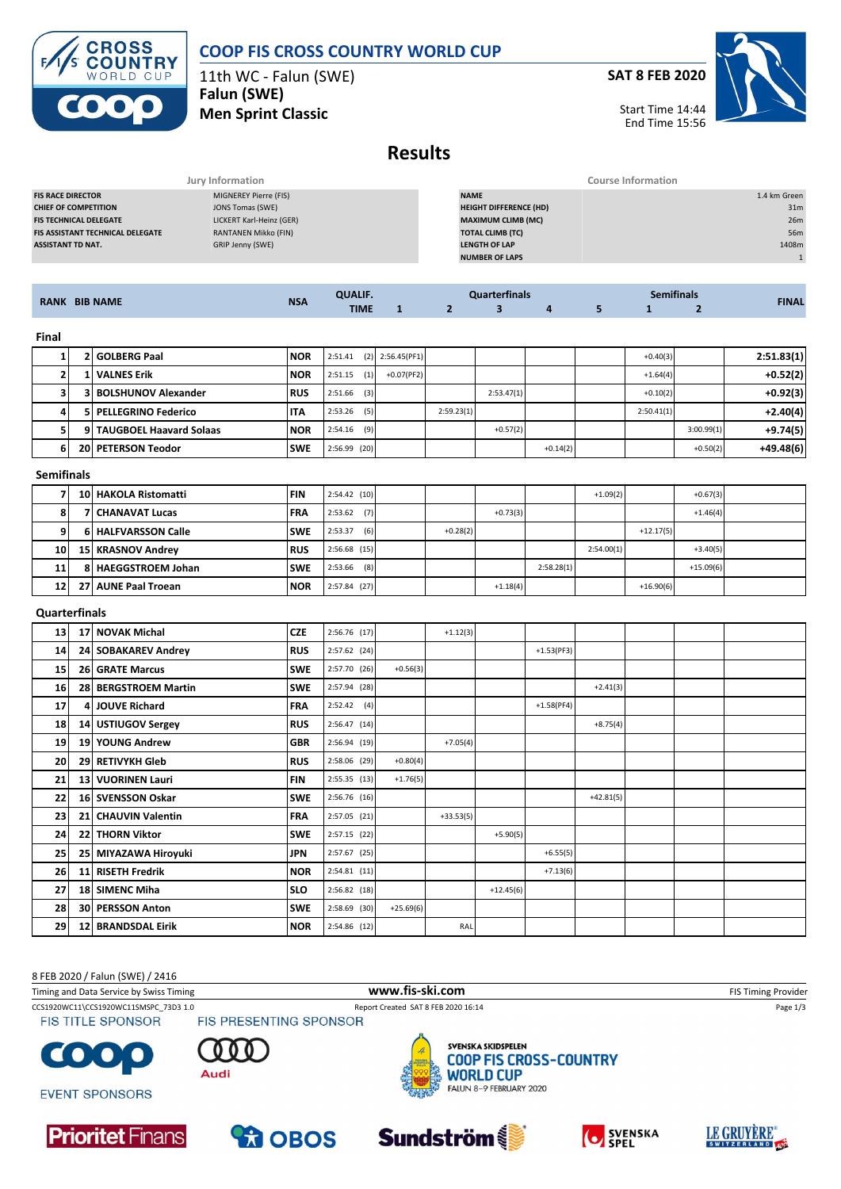

# **COOP FIS CROSS COUNTRY WORLD CUP**

11th WC - Falun (SWE) **Falun (SWE) Men Sprint Classic**

**SAT 8 FEB 2020**



Start Time 14:44 End Time 15:56

#### **Results**

|                                         | Jury Information         | <b>Course Information</b>     |                 |
|-----------------------------------------|--------------------------|-------------------------------|-----------------|
| <b>FIS RACE DIRECTOR</b>                | MIGNEREY Pierre (FIS)    | <b>NAME</b>                   | 1.4 km Green    |
| <b>CHIEF OF COMPETITION</b>             | JONS Tomas (SWE)         | <b>HEIGHT DIFFERENCE (HD)</b> | 31 <sub>m</sub> |
| <b>FIS TECHNICAL DELEGATE</b>           | LICKERT Karl-Heinz (GER) | <b>MAXIMUM CLIMB (MC)</b>     | 26m             |
| <b>FIS ASSISTANT TECHNICAL DELEGATE</b> | RANTANEN Mikko (FIN)     | <b>TOTAL CLIMB (TC)</b>       | 56m             |
| <b>ASSISTANT TD NAT.</b>                | GRIP Jenny (SWE)         | <b>LENGTH OF LAP</b>          | 1408m           |
|                                         |                          | <b>NUMBER OF LAPS</b>         |                 |
|                                         |                          |                               |                 |

| <b>RANK BIB NAME</b>    |                         |                                | <b>NSA</b> | <b>QUALIF.</b> | <b>Quarterfinals</b> |                |                         |              |             | <b>Semifinals</b> |                | <b>FINAL</b> |
|-------------------------|-------------------------|--------------------------------|------------|----------------|----------------------|----------------|-------------------------|--------------|-------------|-------------------|----------------|--------------|
|                         |                         |                                |            | <b>TIME</b>    | $\mathbf{1}$         | $\overline{2}$ | $\overline{\mathbf{3}}$ | 4            | 5           | $\mathbf{1}$      | $\overline{2}$ |              |
| Final                   |                         |                                |            |                |                      |                |                         |              |             |                   |                |              |
| $\mathbf{1}$            |                         | 2 GOLBERG Paal                 | <b>NOR</b> | 2:51.41<br>(2) | 2:56.45(PF1)         |                |                         |              |             | $+0.40(3)$        |                | 2:51.83(1)   |
| $\overline{\mathbf{2}}$ | 1                       | <b>VALNES Erik</b>             | <b>NOR</b> | 2:51.15<br>(1) | $+0.07(PF2)$         |                |                         |              |             | $+1.64(4)$        |                | $+0.52(2)$   |
| 3                       | $\overline{\mathbf{3}}$ | <b>BOLSHUNOV Alexander</b>     | <b>RUS</b> | 2:51.66<br>(3) |                      |                | 2:53.47(1)              |              |             | $+0.10(2)$        |                | $+0.92(3)$   |
| 4                       | 51                      | <b>PELLEGRINO Federico</b>     | <b>ITA</b> | 2:53.26<br>(5) |                      | 2:59.23(1)     |                         |              |             | 2:50.41(1)        |                | $+2.40(4)$   |
| 5                       | 9                       | <b>TAUGBOEL Haavard Solaas</b> | <b>NOR</b> | 2:54.16<br>(9) |                      |                | $+0.57(2)$              |              |             |                   | 3:00.99(1)     | $+9.74(5)$   |
| 6                       |                         | 20 PETERSON Teodor             | <b>SWE</b> | 2:56.99 (20)   |                      |                |                         | $+0.14(2)$   |             |                   | $+0.50(2)$     | $+49.48(6)$  |
| <b>Semifinals</b>       |                         |                                |            |                |                      |                |                         |              |             |                   |                |              |
| 7                       |                         | 10 HAKOLA Ristomatti           | <b>FIN</b> | $2:54.42$ (10) |                      |                |                         |              | $+1.09(2)$  |                   | $+0.67(3)$     |              |
| 8                       | $\overline{7}$          | <b>CHANAVAT Lucas</b>          | <b>FRA</b> | $2:53.62$ (7)  |                      |                | $+0.73(3)$              |              |             |                   | $+1.46(4)$     |              |
| 9                       |                         | 6 HALFVARSSON Calle            | <b>SWE</b> | 2:53.37<br>(6) |                      | $+0.28(2)$     |                         |              |             | $+12.17(5)$       |                |              |
| 10 <sup>1</sup>         |                         | 15 KRASNOV Andrey              | <b>RUS</b> | $2:56.68$ (15) |                      |                |                         |              | 2:54.00(1)  |                   | $+3.40(5)$     |              |
| 11                      | 81                      | <b>HAEGGSTROEM Johan</b>       | <b>SWE</b> | 2:53.66<br>(8) |                      |                |                         | 2:58.28(1)   |             |                   | $+15.09(6)$    |              |
| 12                      |                         | 27 AUNE Paal Troean            | <b>NOR</b> | 2:57.84 (27)   |                      |                | $+1.18(4)$              |              |             | $+16.90(6)$       |                |              |
| <b>Quarterfinals</b>    |                         |                                |            |                |                      |                |                         |              |             |                   |                |              |
| 13                      |                         | 17 NOVAK Michal                | <b>CZE</b> | 2:56.76 (17)   |                      | $+1.12(3)$     |                         |              |             |                   |                |              |
| 14                      |                         | 24 SOBAKAREV Andrey            | <b>RUS</b> | 2:57.62 (24)   |                      |                |                         | $+1.53(PF3)$ |             |                   |                |              |
| 15                      |                         | <b>26 GRATE Marcus</b>         | <b>SWE</b> | 2:57.70 (26)   | $+0.56(3)$           |                |                         |              |             |                   |                |              |
| 16                      |                         | 28 BERGSTROEM Martin           | <b>SWE</b> | 2:57.94 (28)   |                      |                |                         |              | $+2.41(3)$  |                   |                |              |
| 17                      |                         | 4 JOUVE Richard                | FRA        | (4)<br>2:52.42 |                      |                |                         | $+1.58(PF4)$ |             |                   |                |              |
| 18                      |                         | 14 USTIUGOV Sergey             | <b>RUS</b> | $2:56.47$ (14) |                      |                |                         |              | $+8.75(4)$  |                   |                |              |
| 19                      | 19                      | <b>YOUNG Andrew</b>            | <b>GBR</b> | 2:56.94 (19)   |                      | $+7.05(4)$     |                         |              |             |                   |                |              |
| 20                      |                         | 29 RETIVYKH Gleb               | <b>RUS</b> | 2:58.06 (29)   | $+0.80(4)$           |                |                         |              |             |                   |                |              |
| 21                      | 13 <sub>l</sub>         | <b>VUORINEN Lauri</b>          | <b>FIN</b> | 2:55.35(13)    | $+1.76(5)$           |                |                         |              |             |                   |                |              |
| 22                      |                         | 16 SVENSSON Oskar              | <b>SWE</b> | $2:56.76$ (16) |                      |                |                         |              | $+42.81(5)$ |                   |                |              |
| 23                      |                         | 21 CHAUVIN Valentin            | <b>FRA</b> | 2:57.05 (21)   |                      | $+33.53(5)$    |                         |              |             |                   |                |              |
| 24                      | 22                      | <b>THORN Viktor</b>            | <b>SWE</b> | 2:57.15 (22)   |                      |                | $+5.90(5)$              |              |             |                   |                |              |
| 25                      |                         | 25 MIYAZAWA Hiroyuki           | <b>JPN</b> | $2:57.67$ (25) |                      |                |                         | $+6.55(5)$   |             |                   |                |              |
| 26                      |                         | 11 RISETH Fredrik              | <b>NOR</b> | 2:54.81(11)    |                      |                |                         | $+7.13(6)$   |             |                   |                |              |
| 27                      |                         | 18 SIMENC Miha                 | <b>SLO</b> | $2:56.82$ (18) |                      |                | $+12.45(6)$             |              |             |                   |                |              |
| 28                      |                         | <b>30 PERSSON Anton</b>        | <b>SWE</b> | 2:58.69 (30)   | $+25.69(6)$          |                |                         |              |             |                   |                |              |

8 FEB 2020 / Falun (SWE) / 2416

Timing and Data Service by Swiss Timing **www.fis-ski.com www.fis-ski.com** FIS Timing Provider CCS1920WC11\CCS1920WC11SMSPC\_73D3 1.0 Report Created SAT 8 FEB 2020 16:14 Page 1/3<br>
FIS TITLE SPONSOR FIS PRESENTING SPONSOR **FIS TITLE SPONSOR** SVENSKA SKIDSPELEN C  $\bullet$ **COOP FIS CROSS-COUNTRY** Audi







**29 12 BRANDSDAL Eirik NOR 2:54.86 (12)** RAL



¥

**Sundström** 



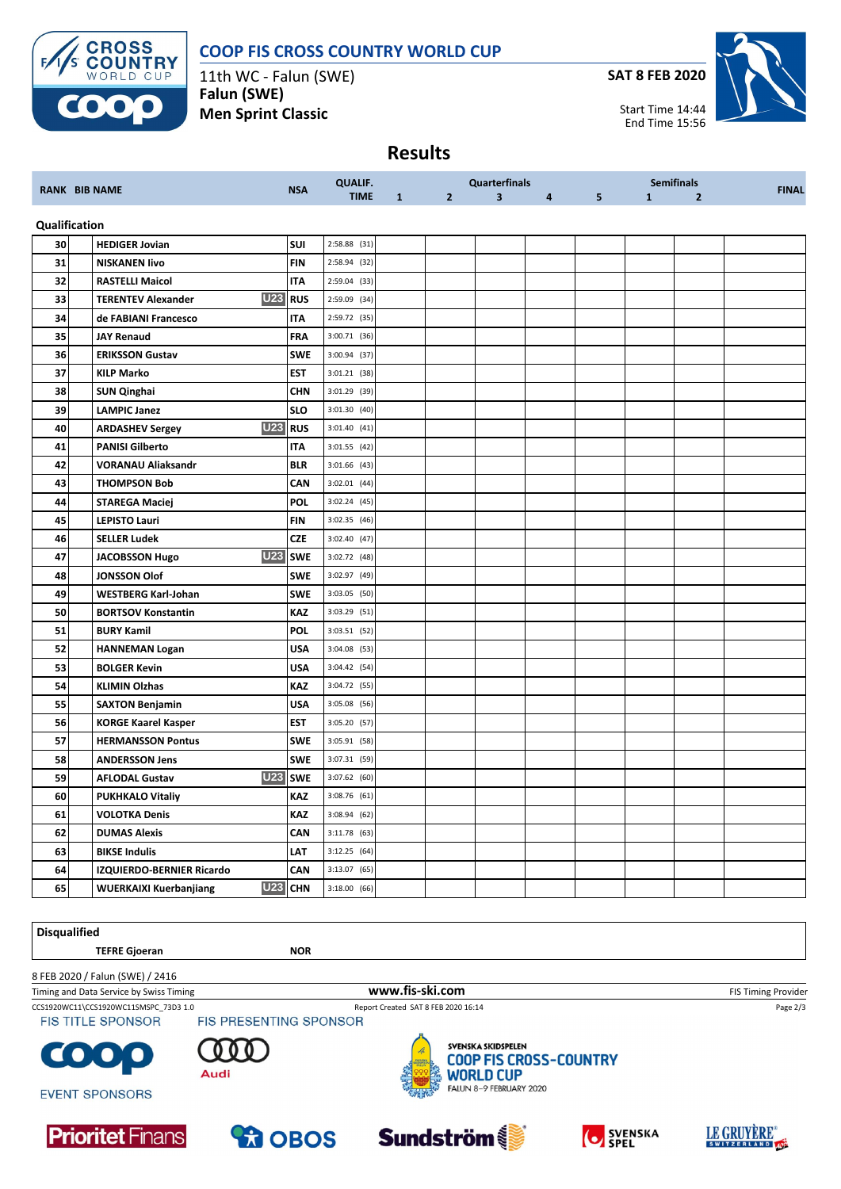

#### **COOP FIS CROSS COUNTRY WORLD CUP**

11th WC - Falun (SWE) **Falun (SWE) Men Sprint Classic**

**SAT 8 FEB 2020**



**Results**

| <b>RANK BIB NAME</b> |  |                                                      | <b>QUALIF.</b> |                |              | <b>Quarterfinals</b> |                         |   | <b>Semifinals</b> |              |                |              |
|----------------------|--|------------------------------------------------------|----------------|----------------|--------------|----------------------|-------------------------|---|-------------------|--------------|----------------|--------------|
|                      |  |                                                      | <b>NSA</b>     | <b>TIME</b>    | $\mathbf{1}$ | $\overline{2}$       | $\overline{\mathbf{3}}$ | 4 | 5                 | $\mathbf{1}$ | $\overline{2}$ | <b>FINAL</b> |
| Qualification        |  |                                                      |                |                |              |                      |                         |   |                   |              |                |              |
| 30                   |  | <b>HEDIGER Jovian</b>                                | SUI            | $2:58.88$ (31) |              |                      |                         |   |                   |              |                |              |
| 31                   |  | <b>NISKANEN livo</b>                                 | <b>FIN</b>     | 2:58.94 (32)   |              |                      |                         |   |                   |              |                |              |
| 32                   |  | <b>RASTELLI Maicol</b>                               | IΤA            | 2:59.04 (33)   |              |                      |                         |   |                   |              |                |              |
| 33                   |  | <b>U23</b><br><b>TERENTEV Alexander</b>              | <b>RUS</b>     | 2:59.09 (34)   |              |                      |                         |   |                   |              |                |              |
| 34                   |  | de FABIANI Francesco                                 | <b>ITA</b>     | 2:59.72 (35)   |              |                      |                         |   |                   |              |                |              |
| 35                   |  | <b>JAY Renaud</b>                                    | FRA            | 3:00.71 (36)   |              |                      |                         |   |                   |              |                |              |
| 36                   |  | <b>ERIKSSON Gustav</b>                               | <b>SWE</b>     | 3:00.94 (37)   |              |                      |                         |   |                   |              |                |              |
| 37                   |  | <b>KILP Marko</b>                                    | <b>EST</b>     | 3:01.21 (38)   |              |                      |                         |   |                   |              |                |              |
| 38                   |  | <b>SUN Qinghai</b>                                   | <b>CHN</b>     | 3:01.29 (39)   |              |                      |                         |   |                   |              |                |              |
| 39                   |  | <b>LAMPIC Janez</b>                                  | <b>SLO</b>     | 3:01.30(40)    |              |                      |                         |   |                   |              |                |              |
| 40                   |  | <b>U23</b><br><b>ARDASHEV Sergey</b>                 | <b>RUS</b>     | $3:01.40$ (41) |              |                      |                         |   |                   |              |                |              |
| 41                   |  | <b>PANISI Gilberto</b>                               | <b>ITA</b>     | 3:01.55 (42)   |              |                      |                         |   |                   |              |                |              |
| 42                   |  | <b>VORANAU Aliaksandr</b>                            | <b>BLR</b>     | $3:01.66$ (43) |              |                      |                         |   |                   |              |                |              |
| 43                   |  | <b>THOMPSON Bob</b>                                  | CAN            | $3:02.01$ (44) |              |                      |                         |   |                   |              |                |              |
| 44                   |  | <b>STAREGA Maciej</b>                                | POL            | $3:02.24$ (45) |              |                      |                         |   |                   |              |                |              |
| 45                   |  | <b>LEPISTO Lauri</b>                                 | <b>FIN</b>     | $3:02.35$ (46) |              |                      |                         |   |                   |              |                |              |
| 46                   |  | <b>SELLER Ludek</b>                                  | CZE            | 3:02.40 (47)   |              |                      |                         |   |                   |              |                |              |
| 47                   |  | <b>U23</b><br><b>JACOBSSON Hugo</b>                  | <b>SWE</b>     | 3:02.72 (48)   |              |                      |                         |   |                   |              |                |              |
| 48                   |  | <b>JONSSON Olof</b>                                  | <b>SWE</b>     | 3:02.97 (49)   |              |                      |                         |   |                   |              |                |              |
| 49                   |  | <b>WESTBERG Karl-Johan</b>                           | <b>SWE</b>     | 3:03.05 (50)   |              |                      |                         |   |                   |              |                |              |
| 50                   |  | <b>BORTSOV Konstantin</b>                            | KAZ            | 3:03.29 (51)   |              |                      |                         |   |                   |              |                |              |
| 51                   |  | <b>BURY Kamil</b>                                    | <b>POL</b>     | $3:03.51$ (52) |              |                      |                         |   |                   |              |                |              |
| 52                   |  | <b>HANNEMAN Logan</b>                                | <b>USA</b>     | $3:04.08$ (53) |              |                      |                         |   |                   |              |                |              |
| 53                   |  | <b>BOLGER Kevin</b>                                  | USA            | 3:04.42 (54)   |              |                      |                         |   |                   |              |                |              |
| 54                   |  | <b>KLIMIN Olzhas</b>                                 | <b>KAZ</b>     | 3:04.72 (55)   |              |                      |                         |   |                   |              |                |              |
| 55                   |  | <b>SAXTON Benjamin</b>                               | USA            | 3:05.08 (56)   |              |                      |                         |   |                   |              |                |              |
| 56                   |  | <b>KORGE Kaarel Kasper</b>                           | <b>EST</b>     | 3:05.20 (57)   |              |                      |                         |   |                   |              |                |              |
| 57                   |  | <b>HERMANSSON Pontus</b>                             | <b>SWE</b>     | 3:05.91 (58)   |              |                      |                         |   |                   |              |                |              |
| 58                   |  | <b>ANDERSSON Jens</b>                                | <b>SWE</b>     | 3:07.31 (59)   |              |                      |                         |   |                   |              |                |              |
| 59                   |  | <b>AFLODAL Gustav</b>                                | U23 SWE        | 3:07.62 (60)   |              |                      |                         |   |                   |              |                |              |
| 60                   |  | <b>PUKHKALO Vitaliy</b>                              | KAZ            | 3:08.76 (61)   |              |                      |                         |   |                   |              |                |              |
| 61                   |  | <b>VOLOTKA Denis</b>                                 | KAZ            | 3:08.94(62)    |              |                      |                         |   |                   |              |                |              |
| 62                   |  | <b>DUMAS Alexis</b>                                  | CAN            | $3:11.78$ (63) |              |                      |                         |   |                   |              |                |              |
| 63                   |  | <b>BIKSE Indulis</b>                                 | LAT            | 3:12.25(64)    |              |                      |                         |   |                   |              |                |              |
| 64                   |  | IZQUIERDO-BERNIER Ricardo                            | CAN            | $3:13.07$ (65) |              |                      |                         |   |                   |              |                |              |
| 65                   |  | U <sub>23</sub> CHN<br><b>WUERKAIXI Kuerbanjiang</b> |                | $3:18.00$ (66) |              |                      |                         |   |                   |              |                |              |

| <b>Disqualified</b>                     |                               |                                                                                     |         |                            |
|-----------------------------------------|-------------------------------|-------------------------------------------------------------------------------------|---------|----------------------------|
| <b>TEFRE Gjoeran</b>                    | <b>NOR</b>                    |                                                                                     |         |                            |
| 8 FEB 2020 / Falun (SWE) / 2416         |                               |                                                                                     |         |                            |
| Timing and Data Service by Swiss Timing |                               | www.fis-ski.com                                                                     |         | <b>FIS Timing Provider</b> |
| CCS1920WC11\CCS1920WC11SMSPC 73D3 1.0   |                               | Report Created SAT 8 FEB 2020 16:14                                                 |         | Page 2/3                   |
| <b>FIS TITLE SPONSOR</b>                | <b>FIS PRESENTING SPONSOR</b> |                                                                                     |         |                            |
| <b>COOO</b>                             | Audi                          | SVENSKA SKIDSPELEN<br><b>COOP FIS CROSS-COUNTRY</b><br>路路<br><b>WORLD CUP</b><br>E. |         |                            |
| <b>EVENT SPONSORS</b>                   |                               | FALUN 8-9 FEBRUARY 2020                                                             |         |                            |
| <b>Prioritet Finans</b>                 | <b>ROBOS</b>                  | <b>Sundström</b>                                                                    | SVENSKA | SWITZERLAND 400            |